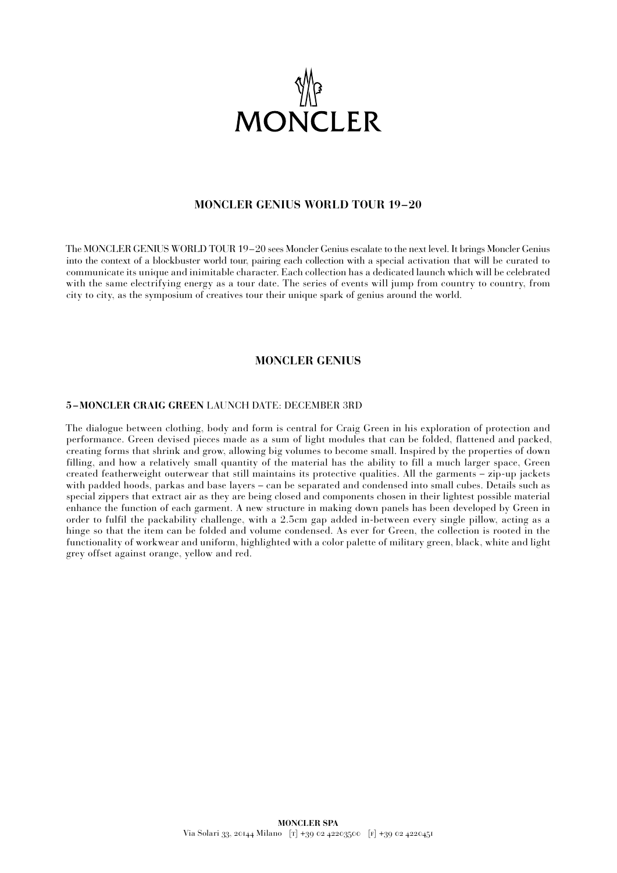

## **MONCLER GENIUS WORLD TOUR 19–20**

The MONCLER GENIUS WORLD TOUR 19–20 sees Moncler Genius escalate to the next level. It brings Moncler Genius into the context of a blockbuster world tour, pairing each collection with a special activation that will be curated to communicate its unique and inimitable character. Each collection has a dedicated launch which will be celebrated with the same electrifying energy as a tour date. The series of events will jump from country to country, from city to city, as the symposium of creatives tour their unique spark of genius around the world.

### **MONCLER GENIUS**

#### **5 –MONCLER CRAIG GREEN** LAUNCH DATE: DECEMBER 3RD

The dialogue between clothing, body and form is central for Craig Green in his exploration of protection and performance. Green devised pieces made as a sum of light modules that can be folded, flattened and packed, creating forms that shrink and grow, allowing big volumes to become small. Inspired by the properties of down filling, and how a relatively small quantity of the material has the ability to fill a much larger space, Green created featherweight outerwear that still maintains its protective qualities. All the garments – zip-up jackets with padded hoods, parkas and base layers – can be separated and condensed into small cubes. Details such as special zippers that extract air as they are being closed and components chosen in their lightest possible material enhance the function of each garment. A new structure in making down panels has been developed by Green in order to fulfil the packability challenge, with a 2.5cm gap added in-between every single pillow, acting as a hinge so that the item can be folded and volume condensed. As ever for Green, the collection is rooted in the functionality of workwear and uniform, highlighted with a color palette of military green, black, white and light grey offset against orange, yellow and red.